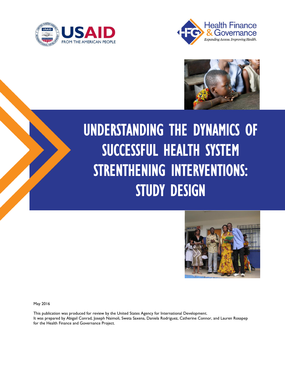





# UNDERSTANDING THE DYNAMICS OF SUCCESSFUL HEALTH SYSTEM STRENTHENING INTERVENTIONS: STUDY DESIGN



May 2016

This publication was produced for review by the United States Agency for International Development. It was prepared by Abigail Conrad, Joseph Naimoli, Sweta Saxena, Daniela Rodriguez, Catherine Connor, and Lauren Rosapep for the Health Finance and Governance Project.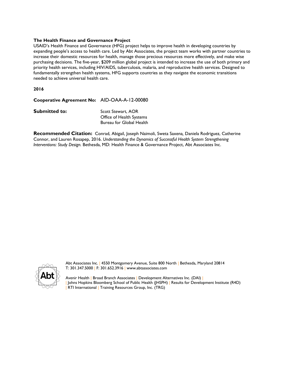#### **The Health Finance and Governance Project**

USAID's Health Finance and Governance (HFG) project helps to improve health in developing countries by expanding people's access to health care. Led by Abt Associates, the project team works with partner countries to increase their domestic resources for health, manage those precious resources more effectively, and make wise purchasing decisions. The five-year, \$209 million global project is intended to increase the use of both primary and priority health services, including HIV/AIDS, tuberculosis, malaria, and reproductive health services. Designed to fundamentally strengthen health systems, HFG supports countries as they navigate the economic transitions needed to achieve universal health care.

**2016**

**Cooperative Agreement No:** AID-OAA-A-12-00080

**Submitted to:** Scott Stewart, AOR

Office of Health Systems Bureau for Global Health

**Recommended Citation:** Conrad, Abigail, Joseph Naimoli, Sweta Saxena*,* Daniela Rodriguez, Catherine Connor, and Lauren Rosapep, 2016. *Understanding the Dynamics of Successful Health System Strengthening Interventions: Study Design.* Bethesda, MD: Health Finance & Governance Project, Abt Associates Inc.



Abt Associates Inc. | 4550 Montgomery Avenue, Suite 800 North | Bethesda, Maryland 20814 T: 301.347.5000 | F: 301.652.3916 | www.abtassociates.com

Avenir Health | Broad Branch Associates | Development Alternatives Inc. (DAI) | | Johns Hopkins Bloomberg School of Public Health (JHSPH) | Results for Development Institute (R4D) RTI International | Training Resources Group, Inc. (TRG)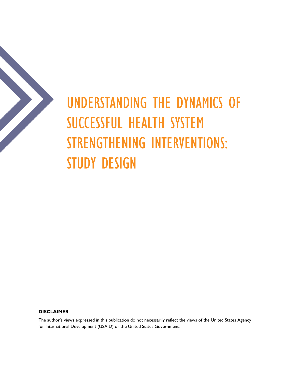

# UNDERSTANDING THE DYNAMICS OF SUCCESSFUL HEALTH SYSTEM STRENGTHENING INTERVENTIONS: STUDY DESIGN

#### **DISCLAIMER**

The author's views expressed in this publication do not necessarily reflect the views of the United States Agency for International Development (USAID) or the United States Government.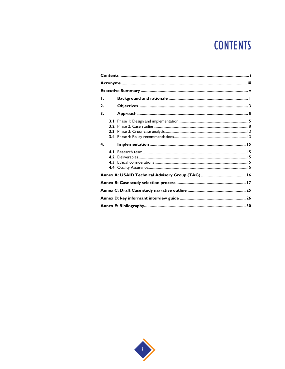## **CONTENTS**

| Τ.           |            |  |
|--------------|------------|--|
| $\mathbf{2}$ |            |  |
| 3.           |            |  |
|              | 3.1        |  |
|              |            |  |
| $\mathbf{4}$ |            |  |
|              | 4.1<br>4.2 |  |
|              |            |  |
|              |            |  |
|              |            |  |
|              |            |  |

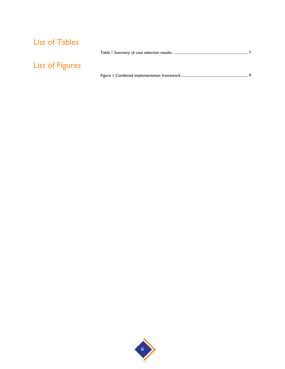### List of Tables

| <b>List of Figures</b> |  |
|------------------------|--|
|                        |  |

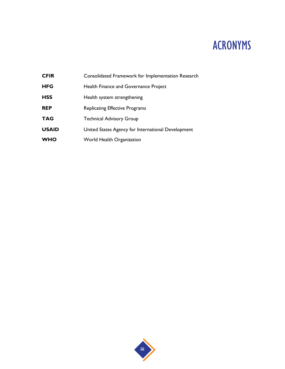## ACRONYMS

**CFIR** Consolidated Framework for Implementation Research **HFG** Health Finance and Governance Project HSS Health system strengthening **REP** Replicating Effective Programs TAG Technical Advisory Group **USAID** United States Agency for International Development **WHO** World Health Organization

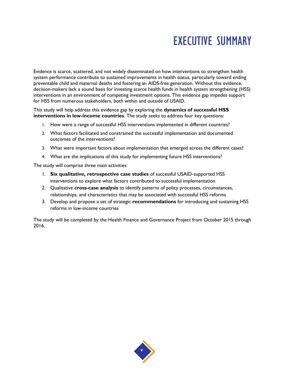## EXECUTIVE SUMMARY

Evidence is scarce, scattered, and not widely disseminated on how interventions to strengthen health system performance contribute to sustained improvements in health status, particularly toward ending preventable child and maternal deaths and fostering an AIDS-free generation. Without this evidence, decision-makers lack a sound basis for investing scarce health funds in health system strengthening (HSS) interventions in an environment of competing investment options. This evidence gap impedes support for HSS from numerous stakeholders, both within and outside of USAID.

This study will help address this evidence gap by exploring the **dynamics of successful HSS interventions in low-income countries**. The study seeks to address four key questions:

- 1. How were a range of successful HSS interventions implemented in different countries?
- 2. What factors facilitated and constrained the successful implementation and documented outcomes of the interventions?
- 3. What were important factors about implementation that emerged across the different cases?
- 4. What are the implications of this study for implementing future HSS interventions?

The study will comprise three main activities:

- 1. **Six qualitative, retrospective case studies** of successful USAID-supported HSS interventions to explore what factors contributed to successful implementation
- 2. Qualitative **cross-case analysis** to identify patterns of policy processes, circumstances, relationships, and characteristics that may be associated with successful HSS reforms
- 3. Develop and propose a set of strategic **recommendations** for introducing and sustaining HSS reforms in low-income countries

The study will be completed by the Health Finance and Governance Project from October 2015 through 2016.

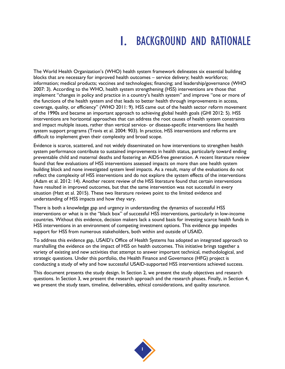## 1. BACKGROUND AND RATIONALE

The World Health Organization's (WHO) health system framework delineates six essential building blocks that are necessary for improved health outcomes – service delivery; health workforce; information; medical products; vaccines and technologies; financing; and leadership/governance (WHO 2007: 3). According to the WHO, health system strengthening (HSS) interventions are those that implement "changes in policy and practice in a country's health system" and improve "one or more of the functions of the health system and that leads to better health through improvements in access, coverage, quality, or efficiency" (WHO 2011: 9). HSS came out of the health sector reform movement of the 1990s and became an important approach to achieving global health goals (GHI 2012: 5). HSS interventions are horizontal approaches that can address the root causes of health system constraints and impact multiple issues, rather than vertical service- or disease-specific interventions like health system support programs (Travis et al. 2004: 903). In practice, HSS interventions and reforms are difficult to implement given their complexity and broad scope.

Evidence is scarce, scattered, and not widely disseminated on how interventions to strengthen health system performance contribute to sustained improvements in health status, particularly toward ending preventable child and maternal deaths and fostering an AIDS-free generation. A recent literature review found that few evaluations of HSS interventions assessed impacts on more than one health system building block and none investigated system level impacts. As a result, many of the evaluations do not reflect the complexity of HSS interventions and do not explore the system effects of the interventions (Adam et al. 2012: 14). Another recent review of the HSS literature found that certain interventions have resulted in improved outcomes, but that the same intervention was not successful in every situation (Hatt et al. 2015). These two literature reviews point to the limited evidence and understanding of HSS impacts and how they vary.

There is both a knowledge gap and urgency in understanding the dynamics of successful HSS interventions or what is in the "black box" of successful HSS interventions, particularly in low-income countries. Without this evidence, decision makers lack a sound basis for investing scarce health funds in HSS interventions in an environment of competing investment options. This evidence gap impedes support for HSS from numerous stakeholders, both within and outside of USAID.

To address this evidence gap, USAID's Office of Health Systems has adopted an integrated approach to marshalling the evidence on the impact of HSS on health outcomes. This initiative brings together a variety of existing and new activities that attempt to answer important technical, methodological, and strategic questions. Under this portfolio, the Health Finance and Governance (HFG) project is conducting a study of why and how successful USAID-supported HSS interventions achieved success.

This document presents the study design. In Section 2, we present the study objectives and research questions. In Section 3, we present the research approach and the research phases. Finally, in Section 4, we present the study team, timeline, deliverables, ethical considerations, and quality assurance.

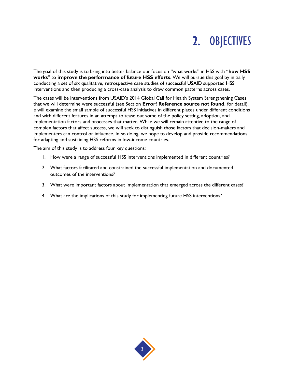## 2. OBJECTIVES

The goal of this study is to bring into better balance our focus on "what works" in HSS with "**how HSS works**" to **improve the performance of future HSS efforts**. We will pursue this goal by initially conducting a set of six qualitative, retrospective case studies of successful USAID supported HSS interventions and then producing a cross-case analysis to draw common patterns across cases.

The cases will be interventions from USAID's 2014 Global Call for Health System Strengthening Cases that we will determine were successful (see Section **Error! Reference source not found.** for detail). e will examine the small sample of successful HSS initiatives in different places under different conditions and with different features in an attempt to tease out some of the policy setting, adoption, and implementation factors and processes that matter. While we will remain attentive to the range of complex factors that affect success, we will seek to distinguish those factors that decision-makers and implementers can control or influence. In so doing, we hope to develop and provide recommendations for adapting and sustaining HSS reforms in low-income countries.

The aim of this study is to address four key questions:

- 1. How were a range of successful HSS interventions implemented in different countries?
- 2. What factors facilitated and constrained the successful implementation and documented outcomes of the interventions?
- 3. What were important factors about implementation that emerged across the different cases?
- 4. What are the implications of this study for implementing future HSS interventions?

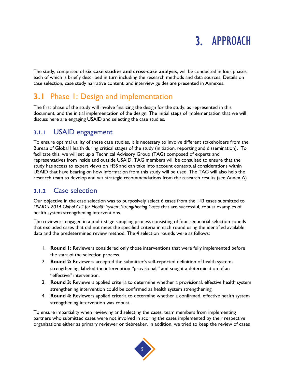## 3. APPROACH

The study, comprised of **six case studies and cross-case analysis**, will be conducted in four phases, each of which is briefly described in turn including the research methods and data sources. Details on case selection, case study narrative content, and interview guides are presented in Annexes.

### **3.1** Phase 1: Design and implementation

The first phase of the study will involve finalizing the design for the study, as represented in this document, and the initial implementation of the design. The initial steps of implementation that we will discuss here are engaging USAID and selecting the case studies.

### **3.1.1** USAID engagement

To ensure optimal utility of these case studies, it is necessary to involve different stakeholders from the Bureau of Global Health during critical stages of the study (initiation, reporting and dissemination). To facilitate this, we will set up a Technical Advisory Group (TAG) composed of experts and representatives from inside and outside USAID. TAG members will be consulted to ensure that the study has access to expert views on HSS and can take into account contextual considerations within USAID that have bearing on how information from this study will be used. The TAG will also help the research team to develop and vet strategic recommendations from the research results (see Annex A).

### **3.1.2** Case selection

Our objective in the case selection was to purposively select 6 cases from the 143 cases submitted to *USAID's 2014 Global Call for Health System Strengthening Cases* that are successful, robust examples of health system strengthening interventions.

The reviewers engaged in a multi-stage sampling process consisting of four sequential selection rounds that excluded cases that did not meet the specified criteria in each round using the identified available data and the predetermined review method. The 4 selection rounds were as follows:

- 1. **Round 1:** Reviewers considered only those interventions that were fully implemented before the start of the selection process.
- 2. **Round 2:** Reviewers accepted the submitter's self-reported definition of health systems strengthening, labeled the intervention "provisional," and sought a determination of an "effective" intervention.
- 3. **Round 3:** Reviewers applied criteria to determine whether a provisional, effective health system strengthening intervention could be confirmed as health system strengthening.
- 4. **Round 4:** Reviewers applied criteria to determine whether a confirmed, effective health system strengthening intervention was robust.

To ensure impartiality when reviewing and selecting the cases, team members from implementing partners who submitted cases were not involved in scoring the cases implemented by their respective organizations either as primary reviewer or tiebreaker. In addition, we tried to keep the review of cases

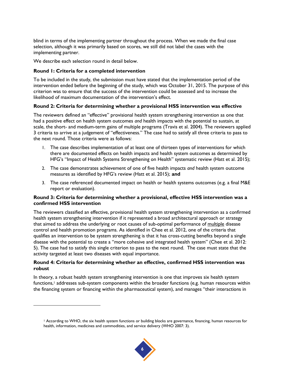blind in terms of the implementing partner throughout the process. When we made the final case selection, although it was primarily based on scores, we still did not label the cases with the implementing partner.

We describe each selection round in detail below.

l

#### **Round 1: Criteria for a completed intervention**

To be included in the study, the submission must have stated that the implementation period of the intervention ended before the beginning of the study, which was October 31, 2015. The purpose of this criterion was to ensure that the success of the intervention could be assessed and to increase the likelihood of maximum documentation of the intervention's effect.

#### **Round 2: Criteria for determining whether a provisional HSS intervention was effective**

The reviewers defined an "effective" provisional health system strengthening intervention as one that had a positive effect on health system outcomes *and* health impacts with the potential to sustain, at scale, the short- and medium-term gains of multiple programs (Travis et al. 2004). The reviewers applied 3 criteria to arrive at a judgement of "effectiveness." The case had to satisfy all three criteria to pass to the next round. Those criteria were as follows:

- 1. The case describes implementation of at least one of thirteen types of interventions for which there are documented effects on health impacts and health system outcomes as determined by HFG's "Impact of Health Systems Strengthening on Health" systematic review (Hatt et al. 2015);
- 2. The case demonstrates achievement of one of five health impacts *and* health system outcome measures as identified by HFG's review (Hatt et al. 2015); **and**
- 3. The case referenced documented impact on health or health systems outcomes (e.g. a final M&E report or evaluation).

#### **Round 3: Criteria for determining whether a provisional, effective HSS intervention was a confirmed HSS intervention**

The reviewers classified an effective, provisional health system strengthening intervention as a confirmed health system strengthening intervention if it represented a broad architectural approach or strategy that aimed to address the underlying or root causes of sub-optimal performance of multiple disease control and health promotion programs. As identified in Chee et al. 2012, one of the criteria that qualifies an intervention to be system strengthening is that it has cross-cutting benefits beyond a single disease with the potential to create a "more cohesive and integrated health system" (Chee et al. 2012: 5). The case had to satisfy this single criterion to pass to the next round. The case must state that the activity targeted at least two diseases with equal importance.

#### **Round 4: Criteria for determining whether an effective, confirmed HSS intervention was robust**

In theory, a robust health system strengthening intervention is one that improves six health system functions,<sup>1</sup> addresses sub-system components within the broader functions (e.g. human resources within the financing system or financing within the pharmaceutical system), and manages "their interactions in

<sup>1</sup> According to WHO, the six health system functions or building blocks are governance, financing, human resources for health, information, medicines and commodities, and service delivery (WHO 2007: 3).

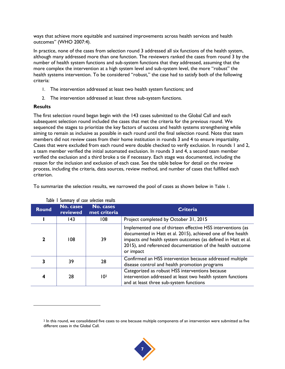ways that achieve more equitable and sustained improvements across health services and health outcomes" (WHO 2007:4).

In practice, none of the cases from selection round 3 addressed all six functions of the health system, although many addressed more than one function. The reviewers ranked the cases from round 3 by the number of health system functions and sub-system functions that they addressed, assuming that the more complex the intervention at a high system level and sub-system level, the more "robust" the health systems intervention. To be considered "robust," the case had to satisfy both of the following criteria:

- 1. The intervention addressed at least two health system functions; and
- 2. The intervention addressed at least three sub-system functions.

#### **Results**

l

The first selection round began begin with the 143 cases submitted to the Global Call and each subsequent selection round included the cases that met the criteria for the previous round. We sequenced the stages to prioritize the key factors of success and health systems strengthening while aiming to remain as inclusive as possible in each round until the final selection round. Note that team members did not review cases from their home institution in rounds 3 and 4 to ensure impartiality. Cases that were excluded from each round were double checked to verify exclusion. In rounds 1 and 2, a team member verified the initial automated exclusion. In rounds 3 and 4, a second team member verified the exclusion and a third broke a tie if necessary. Each stage was documented, including the reason for the inclusion and exclusion of each case. See the table below for detail on the review process, including the criteria, data sources, review method, and number of cases that fulfilled each criterion.

To summarize the selection results, we narrowed the pool of cases as shown below in [Table 1](#page-16-0).

<span id="page-16-0"></span>

| <b>Round</b> | No. cases<br>reviewed | No. cases<br>met criteria | <b>Criteria</b>                                                                                                                                                                                                                                                        |
|--------------|-----------------------|---------------------------|------------------------------------------------------------------------------------------------------------------------------------------------------------------------------------------------------------------------------------------------------------------------|
|              | 143                   | 108                       | Project completed by October 31, 2015                                                                                                                                                                                                                                  |
| 2            | 108                   | 39                        | Implemented one of thirteen effective HSS interventions (as<br>documented in Hatt et al. 2015), achieved one of five health<br>impacts and health system outcomes (as defined in Hatt et al.<br>2015), and referenced documentation of the health outcome<br>or impact |
|              | 39                    | 28                        | Confirmed an HSS intervention because addressed multiple<br>disease control and health promotion programs                                                                                                                                                              |
|              | 28                    | 10 <sup>2</sup>           | Categorized as robust HSS interventions because<br>intervention addressed at least two health system functions<br>and at least three sub-system functions                                                                                                              |

### Table 1 Summary of case selection results

 $2$  In this round, we consolidated five cases to one because multiple components of an intervention were submitted as five different cases in the Global Call.

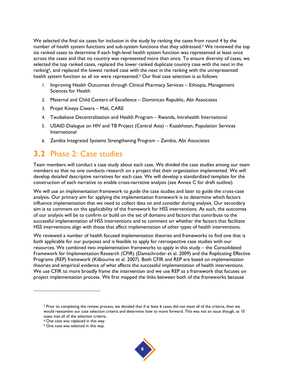We selected the final six cases for inclusion in the study by ranking the cases from round 4 by the number of health system functions and sub-system functions that they addressed.<sup>3</sup> We reviewed the top six ranked cases to determine if each high-level health system function was represented at least once across the cases and that no country was represented more than once. To ensure diversity of cases, we selected the top ranked cases, replaced the lower ranked duplicate country case with the next in the ranking<sup>4</sup>, and replaced the lowest ranked case with the next in the ranking with the unrepresented health system function so all six were represented.<sup>5</sup> Our final case selection is as follows:

- 1. Improving Health Outcomes through Clinical Pharmacy Services Ethiopia, Management Sciences for Health
- 2. Maternal and Child Centers of Excellence Dominican Republic, Abt Associates
- 3. Projet Kineya Ciwara Mali, CARE
- 4. Twubakane Decentralization and Health Program Rwanda, Intrahealth International
- 5. USAID Dialogue on HIV and TB Project (Central Asia) Kazakhstan, Population Services International
- 6. Zambia Integrated Systems Strengthening Program Zambia, Abt Associates

### **3.2** Phase 2: Case studies

Team members will conduct a case study about each case. We divided the case studies among our team members so that no one conducts research on a project that their organization implemented. We will develop detailed descriptive narratives for each case. We will develop a standardized template for the construction of each narrative to enable cross-narrative analysis (see Annex C for draft outline).

We will use an implementation framework to guide the case studies and later to guide the cross-case analysis. Our primary aim for applying the implementation framework is to determine which factors influence implementation that we need to collect data on and consider during analysis. Our secondary aim is to comment on the applicability of the framework for HSS interventions. As such, the outcomes of our analysis will be to confirm or build on the set of domains and factors that contribute to the successful implementation of HSS interventions and to comment on whether the factors that facilitate HSS interventions align with those that affect implementation of other types of health interventions.

We reviewed a number of health focused implementation theories and frameworks to find one that is both applicable for our purposes and is feasible to apply for retrospective case studies with our resources. We combined two implementation frameworks to apply in this study – the Consolidated Framework for Implementation Research (CFIR) (Damschroder et al. 2009) and the Replicating Effective Programs (REP) framework (Kilbourne et al. 2007). Both CFIR and REP are based on implementation theories and empirical evidence of what affects the successful implementation of health interventions. We use CFIR to more broadly frame the intervention and we use REP as a framework that focuses on project implementation process. We first mapped the links between both of the frameworks because



<sup>3</sup> Prior to completing the review process, we decided that if at least 6 cases did not meet all of the criteria, then we would reexamine our case selection criteria and determine how to move forward. This was not an issue though, as 10 cases met all of the selection criteria.

<sup>4</sup> One case was replaced in this way.

<sup>5</sup> One case was selected in this way.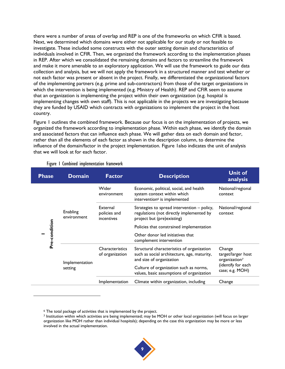there were a number of areas of overlap and REP is one of the frameworks on which CFIR is based. Next, we determined which domains were either not applicable for our study or not feasible to investigate. These included some constructs with the outer setting domain and characteristics of individuals involved in CFIR. Then, we organized the framework according to the implementation phases in REP. After which we consolidated the remaining domains and factors to streamline the framework and make it more amenable to an exploratory application. We will use the framework to guide our data collection and analysis, but we will not apply the framework in a structured manner and test whether or not each factor was present or absent in the project. Finally, we differentiated the organizational factors of the implementing partners (e.g. prime and sub-contractors) from those of the target organizations in which the intervention is being implemented (e.g. Ministry of Health). REP and CFIR seem to assume that an organization is implementing the project within their own organization (e.g. hospital is implementing changes with own staff). This is not applicable in the projects we are investigating because they are funded by USAID which contracts with organizations to implement the project in the host country.

[Figure 1](#page-18-0) outlines the combined framework. Because our focus is on the implementation of projects, we organized the framework according to implementation phase. Within each phase, we identify the domain and associated factors that can influence each phase. We will gather data on each domain and factor, rather than all the elements of each factor as shown in the description column, to determine the influence of the domain/factor in the project implementation. [Figure 1a](#page-18-0)lso indicates the unit of analysis that we will look at for each factor.

<span id="page-18-0"></span>

| <b>Phase</b>  | <b>Domain</b>             | <b>Factor</b>                          | <b>Description</b>                                                                                                    | <b>Unit of</b><br>analysis                                |
|---------------|---------------------------|----------------------------------------|-----------------------------------------------------------------------------------------------------------------------|-----------------------------------------------------------|
|               |                           | Wider<br>environment                   | Economic, political, social, and health<br>system context within which<br>intervention <sup>6</sup> is implemented    | National/regional<br>context                              |
|               | Enabling<br>environment   | External<br>policies and<br>incentives | Strategies to spread intervention - policy,<br>regulations (not directly implemented by<br>project but (pre)existing) | National/regional<br>context                              |
|               |                           |                                        | Policies that constrained implementation                                                                              |                                                           |
| Pre-condition |                           |                                        | Other donor led initiatives that<br>complement intervention                                                           |                                                           |
|               | Implementation<br>setting | Characteristics<br>of organization     | Structural characteristics of organization<br>such as social architecture, age, maturity,<br>and size of organization | Change<br>target/larger host<br>organization <sup>7</sup> |
|               |                           |                                        | Culture of organization such as norms,<br>values, basic assumptions of organization                                   | (identify for each<br>case; e.g. MOH)                     |
|               |                           | Implementation                         | Climate within organization, including                                                                                | Change                                                    |

#### Figure 1 Combined implementation framework

<sup>7</sup> Institution within which activities are being implemented; may be MOH or other local organization (will focus on larger organization like MOH rather than individual hospitals); depending on the case this organization may be more or less involved in the actual implementation.



<sup>6</sup> The total package of activities that is implemented by the project.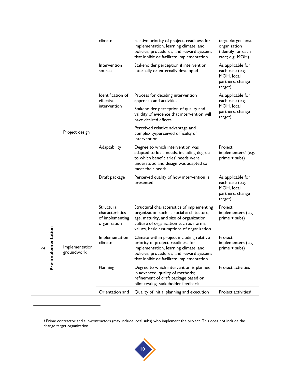| climate<br>relative priority of project, readiness for<br>implementation, learning climate, and<br>organization<br>policies, procedures, and reward systems<br>that inhibit or facilitate implementation                                                                                                                                             | target/larger host<br>(identify for each |
|------------------------------------------------------------------------------------------------------------------------------------------------------------------------------------------------------------------------------------------------------------------------------------------------------------------------------------------------------|------------------------------------------|
|                                                                                                                                                                                                                                                                                                                                                      | case; e.g. MOH)                          |
| Intervention<br>Stakeholder perception if intervention<br>internally or externally developed<br>each case (e.g.<br>source<br>MOH, local<br>target)                                                                                                                                                                                                   | As applicable for<br>partners, change    |
| Identification of<br>Process for deciding intervention<br>effective<br>approach and activities<br>each case (e.g.                                                                                                                                                                                                                                    | As applicable for                        |
| MOH, local<br>intervention<br>Stakeholder perception of quality and<br>validity of evidence that intervention will<br>target)<br>have desired effects                                                                                                                                                                                                | partners, change                         |
| Perceived relative advantage and<br>Project design<br>complexity/perceived difficulty of<br>intervention                                                                                                                                                                                                                                             |                                          |
| Adaptability<br>Degree to which intervention was<br>Project<br>adapted to local needs, including degree<br>to which beneficiaries' needs were<br>prime + subs)<br>understood and design was adapted to<br>meet their needs                                                                                                                           | implementers <sup>8</sup> (e.g.          |
| Draft package<br>Perceived quality of how intervention is<br>presented<br>each case (e.g.<br>MOH, local<br>target)                                                                                                                                                                                                                                   | As applicable for<br>partners, change    |
| Structural<br>Structural characteristics of implementing<br>Project<br>characteristics<br>organization such as social architecture,<br>of implementing<br>age, maturity, and size of organization;<br>prime + subs)<br>culture of organization such as norms,<br>organization<br>values, basic assumptions of organization                           | implementers (e.g.                       |
| entation<br>Project<br>Implementation<br>Climate within project including relative<br>climate<br>priority of project, readiness for<br>Pre-implem<br>Implementation<br>implementation, learning climate, and<br>prime + subs)<br>$\mathbf{r}$<br>groundwork<br>policies, procedures, and reward systems<br>that inhibit or facilitate implementation | implementers (e.g.                       |
| Planning<br>Degree to which intervention is planned<br>in advanced, quality of methods;<br>refinement of draft package based on<br>pilot testing, stakeholder feedback                                                                                                                                                                               | Project activities                       |
| Orientation and<br>Quality of initial planning and execution                                                                                                                                                                                                                                                                                         | Project activities <sup>9</sup>          |
|                                                                                                                                                                                                                                                                                                                                                      |                                          |



<sup>&</sup>lt;sup>8</sup> Prime contractor and sub-contractors (may include local subs) who implement the project. This does not include the change target organization.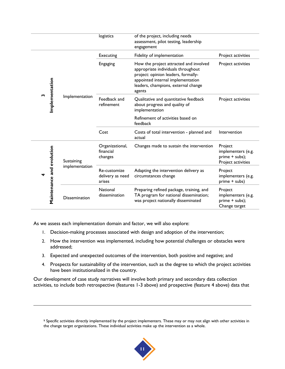|   |  |                           |                      | logistics                                  | of the project, including needs<br>assessment, pilot testing, leadership<br>engagement                                                                                                                    |                                                                       |
|---|--|---------------------------|----------------------|--------------------------------------------|-----------------------------------------------------------------------------------------------------------------------------------------------------------------------------------------------------------|-----------------------------------------------------------------------|
|   |  |                           |                      | Executing                                  | Fidelity of implementation                                                                                                                                                                                | Project activities                                                    |
| m |  |                           | Implementation       | Engaging                                   | How the project attracted and involved<br>appropriate individuals throughout<br>project: opinion leaders, formally-<br>appointed internal implementation<br>leaders, champions, external change<br>agents | Project activities                                                    |
|   |  | Implementation            |                      | Feedback and<br>refinement                 | Qualitative and quantitative feedback<br>about progress and quality of<br>implementation                                                                                                                  | Project activities                                                    |
|   |  |                           |                      |                                            | Refinement of activities based on<br>feedback                                                                                                                                                             |                                                                       |
|   |  |                           |                      | Cost                                       | Costs of total intervention - planned and<br>actual                                                                                                                                                       | Intervention                                                          |
|   |  | Maintenance and evolution | Sustaining           | Organizational,<br>financial<br>changes    | Changes made to sustain the intervention                                                                                                                                                                  | Project<br>implementers (e.g.<br>prime + subs);<br>Project activities |
|   |  |                           | implementation       | Re-customize<br>delivery as need<br>arises | Adapting the intervention delivery as<br>circumstances change                                                                                                                                             | Project<br>implementers (e.g.<br>prime + subs)                        |
|   |  |                           | <b>Dissemination</b> | National<br>dissemination                  | Preparing refined package, training, and<br>TA program for national dissemination;<br>was project nationally disseminated                                                                                 | Project<br>implementers (e.g.<br>prime + subs);<br>Change target      |

As we assess each implementation domain and factor, we will also explore:

l

- 1. Decision-making processes associated with design and adoption of the intervention;
- 2. How the intervention was implemented, including how potential challenges or obstacles were addressed;
- 3. Expected and unexpected outcomes of the intervention, both positive and negative; and
- 4. Prospects for sustainability of the intervention, such as the degree to which the project activities have been institutionalized in the country.

Our development of case study narratives will involve both primary and secondary data collection activities, to include both retrospective (features 1-3 above) and prospective (feature 4 above) data that

<sup>&</sup>lt;sup>9</sup> Specific activities directly implemented by the project implementers. These may or may not align with other activities in the change target organizations. These individual activities make up the intervention as a whole.

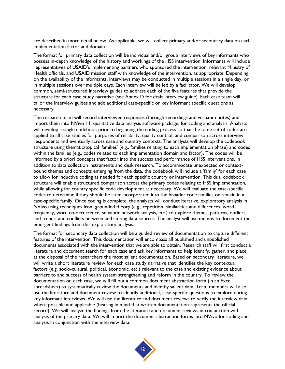are described in more detail below. As applicable, we will collect primary and/or secondary data on each implementation factor and domain.

The format for primary data collection will be individual and/or group interviews of key informants who possess in-depth knowledge of the history and workings of the HSS intervention. Informants will include representatives of USAID's implementing partners who sponsored the intervention, relevant Ministry of Health officials, and USAID mission staff with knowledge of the intervention, as appropriate. Depending on the availability of the informants, interviews may be conducted in multiple sessions in a single day, or in multiple sessions over multiple days. Each interview will be led by a facilitator. We will develop common, semi-structured interview guides to address each of the five features that provide the structure for each case study narrative (see Annex D for draft interview guide). Each case team will tailor the interview guides and add additional case-specific or key informant specific questions as necessary.

The research team will record interviewee responses (through recordings and verbatim notes) and import them into NVivo 11, qualitative data analysis software package, for coding and analysis. Analysts will develop a single codebook prior to beginning the coding process so that the same set of codes are applied to all case studies for purposes of reliability, quality control, and comparison across interview respondents and eventually across case and country contexts. The analysts will develop the codebook structure using thematic/topical 'families' (e.g., families relating to each implementation phase) and codes within the families (e.g., codes related to each implementation domain and factor). The codes will be informed by a priori concepts that factor into the success and performance of HSS interventions, in addition to data collection instruments and desk research. To accommodate unexpected or contextbound themes and concepts emerging from the data, the codebook will include a 'family' for each case to allow for inductive coding as needed for each specific country or intervention. This dual codebook structure will enable structured comparison across the primary codes relating to HSS implementation, while allowing for country specific code development as necessary. We will evaluate the case-specific codes to determine if they should be later incorporated into the broader code families or remain in a case-specific family. Once coding is complete, the analysts will conduct iterative, exploratory analysis in NVivo using techniques from grounded theory (e.g., repetition, similarities and differences, word frequency, word co-occurrence, semantic network analysis, etc.) to explore themes, patterns, outliers, and trends, and conflicts between and among data sources. The analyst will use memos to document the emergent findings from this exploratory analysis.

The format for secondary data collection will be a guided review of documentation to capture different features of the intervention. This documentation will encompass all published and unpublished documents associated with the intervention that we are able to obtain. Research staff will first conduct a literature and document search for each case and ask key informants to help identify, gather, and place at the disposal of the researchers the most salient documentation. Based on secondary literature, we will write a short literature review for each case study narrative that identifies the key contextual factors (e.g. socio-cultural, political, economic, etc.) relevant to the case and existing evidence about barriers to and success of health system strengthening and reform in the country. To review the documentation on each case, we will fill out a common document abstraction form (in an Excel spreadsheet) to systematically review the documents and identify salient data. Team members will also use the literature and document review to identify additional, case-specific questions to explore during key informant interviews. We will use the literature and document reviews to verify the interview data where possible and applicable (bearing in mind that written documentation represents the official record). We will analyze the findings from the literature and document reviews in conjunction with analysis of the primary data. We will import the document abstraction forms into NVivo for coding and analysis in conjunction with the interview data.

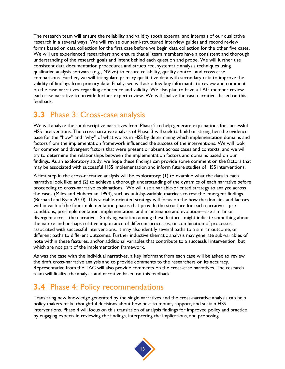The research team will ensure the reliability and validity (both external and internal) of our qualitative research in a several ways. We will revise our semi-structured interview guides and record review forms based on data collection for the first case before we begin data collection for the other five cases. We will use experienced researchers and ensure that all team members have a consistent and thorough understanding of the research goals and intent behind each question and probe. We will further use consistent data documentation procedures and structured, systematic analysis techniques using qualitative analysis software (e.g., NVivo) to ensure reliability, quality control, and cross case comparisons. Further, we will triangulate primary qualitative data with secondary data to improve the validity of findings from primary data. Finally, we will ask a few key informants to review and comment on the case narratives regarding coherence and validity. We also plan to have a TAG member review each case narrative to provide further expert review. We will finalize the case narratives based on this feedback.

### **3.3** Phase 3: Cross-case analysis

We will analyze the six descriptive narratives from Phase 2 to help generate explanations for successful HSS interventions. The cross-narrative analysis of Phase 3 will seek to build or strengthen the evidence base for the "how" and "why" of what works in HSS by determining which implementation domains and factors from the implementation framework influenced the success of the interventions. We will look for common and divergent factors that were present or absent across cases and contexts, and we will try to determine the relationships between the implementation factors and domains based on our findings. As an exploratory study, we hope these findings can provide some comment on the factors that may be associated with successful HSS implementation and inform future studies of HSS interventions.

A first step in the cross-narrative analysis will be exploratory: (1) to examine what the data in each narrative look like; and (2) to achieve a thorough understanding of the dynamics of each narrative before proceeding to cross-narrative explanations. We will use a variable-oriented strategy to analyze across the cases (Miles and Huberman 1994), such as unit-by-variable matrices to test the emergent findings (Bernard and Ryan 2010). This variable-oriented strategy will focus on the how the domains and factors within each of the four implementation phases that provide the structure for each narrative—preconditions, pre-implementation, implementation, and maintenance and evolution—are similar or divergent across the narratives. Studying variation among these features might indicate something about the nature and perhaps relative importance of different processes, or combination of processes, associated with successful interventions. It may also identify several paths to a similar outcome, or different paths to different outcomes. Further inductive thematic analysis may generate sub-variables of note within these features, and/or additional variables that contribute to a successful intervention, but which are not part of the implementation framework.

As was the case with the individual narratives, a key informant from each case will be asked to review the draft cross-narrative analysis and to provide comments to the researchers on its accuracy. Representative from the TAG will also provide comments on the cross-case narratives. The research team will finalize the analysis and narrative based on this feedback.

### **3.4** Phase 4: Policy recommendations

Translating new knowledge generated by the single narratives and the cross-narrative analysis can help policy makers make thoughtful decisions about how best to mount, support, and sustain HSS interventions. Phase 4 will focus on this translation of analysis findings for improved policy and practice by engaging experts in reviewing the findings, interpreting the implications, and proposing

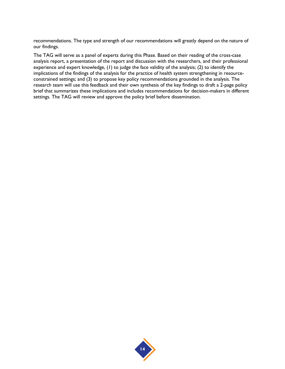recommendations. The type and strength of our recommendations will greatly depend on the nature of our findings.

The TAG will serve as a panel of experts during this Phase. Based on their reading of the cross-case analysis report, a presentation of the report and discussion with the researchers, and their professional experience and expert knowledge, (1) to judge the face validity of the analysis; (2) to identify the implications of the findings of the analysis for the practice of health system strengthening in resourceconstrained settings; and (3) to propose key policy recommendations grounded in the analysis. The research team will use this feedback and their own synthesis of the key findings to draft a 2-page policy brief that summarizes these implications and includes recommendations for decision-makers in different settings. The TAG will review and approve the policy brief before dissemination.

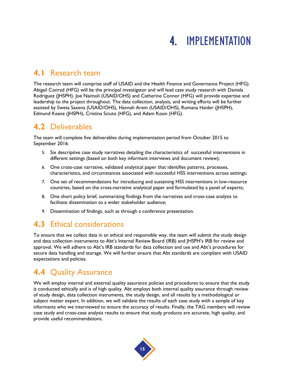## 4. IMPLEMENTATION

### **4.1** Research team

The research team will comprise staff of USAID and the Health Finance and Governance Project (HFG). Abigail Conrad (HFG) will be the principal investigator and will lead case study research with Daniela Rodriguez (JHSPH). Joe Naimoli (USAID/OHS) and Catherine Connor (HFG) will provide expertise and leadership to the project throughout. The data collection, analysis, and writing efforts will be further assisted by Sweta Saxena (USAID/OHS), Hannah Arem (USAID/OHS), Romana Haider (JHSPH), Edmund Keane (JHSPH), Cristina Sciuto (HFG), and Adam Koon (HFG).

### **4.2** Deliverables

The team will complete five deliverables during implementation period from October 2015 to September 2016:

- 5. Six descriptive case study narratives detailing the characteristics of successful interventions in different settings (based on both key informant interviews and document review);
- 6. One cross-case narrative, validated analytical paper that identifies patterns, processes, characteristics, and circumstances associated with successful HSS interventions across settings;
- 7. One set of recommendations for introducing and sustaining HSS interventions in low-resource countries, based on the cross-narrative analytical paper and formulated by a panel of experts;
- 8. One short policy brief, summarizing findings from the narratives and cross-case analysis to facilitate dissemination to a wider stakeholder audience;
- 9. Dissemination of findings, such as through a conference presentation.

### **4.3** Ethical considerations

To ensure that we collect data in an ethical and responsible way, the team will submit the study design and data collection instruments to Abt's Internal Review Board (IRB) and JHSPH's IRB for review and approval. We will adhere to Abt's IRB standards for data collection and use and Abt's procedures for secure data handling and storage. We will further ensure that Abt standards are compliant with USAID expectations and policies.

### **4.4** Quality Assurance

We will employ internal and external quality assurance policies and procedures to ensure that the study is conducted ethically and is of high quality. Abt employs both internal quality assurance through review of study design, data collection instruments, the study design, and all results by a methodological or subject matter expert. In addition, we will validate the results of each case study with a sample of key informants who we interviewed to ensure the accuracy of results. Finally, the TAG members will review case study and cross-case analysis results to ensure that study products are accurate, high quality, and provide useful recommendations.

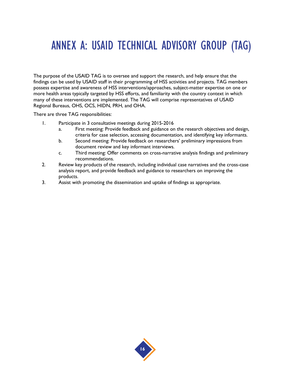## ANNEX A: USAID TECHNICAL ADVISORY GROUP (TAG)

The purpose of the USAID TAG is to oversee and support the research, and help ensure that the findings can be used by USAID staff in their programming of HSS activities and projects. TAG members possess expertise and awareness of HSS interventions/approaches, subject-matter expertise on one or more health areas typically targeted by HSS efforts, and familiarity with the country context in which many of these interventions are implemented. The TAG will comprise representatives of USAID Regional Bureaus, OHS, OCS, HIDN, PRH, and OHA.

There are three TAG responsibilities:

- 1. Participate in 3 consultative meetings during 2015-2016
	- a. First meeting: Provide feedback and guidance on the research objectives and design, criteria for case selection, accessing documentation, and identifying key informants.
	- b. Second meeting: Provide feedback on researchers' preliminary impressions from document review and key informant interviews.
	- c. Third meeting: Offer comments on cross-narrative analysis findings and preliminary recommendations.
- 2. Review key products of the research, including individual case narratives and the cross-case analysis report, and provide feedback and guidance to researchers on improving the products.
- 3. Assist with promoting the dissemination and uptake of findings as appropriate.

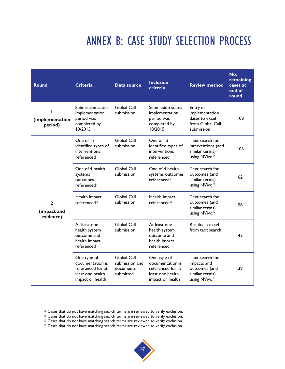## ANNEX B: CASE STUDY SELECTION PROCESS

| <b>Round</b>                             | <b>Criteria</b>                                                                              | Data source                                             | <b>Inclusion</b><br>criteria                                                                 | <b>Review method</b>                                                                           | No.<br>remaining<br>cases at<br>end of<br>round |
|------------------------------------------|----------------------------------------------------------------------------------------------|---------------------------------------------------------|----------------------------------------------------------------------------------------------|------------------------------------------------------------------------------------------------|-------------------------------------------------|
| (implementation<br>period)               | Submission states<br>implementation<br>period was<br>completed by<br>10/2015                 | Global Call<br>submission                               | Submission states<br>implementation<br>period was<br>completed by<br>10/2015                 | Entry of<br>implementation<br>dates to excel<br>from Global Call<br>submission                 | 108                                             |
|                                          | One of 13<br>identified types of<br>interventions<br>referencedi                             | Global Call<br>submission                               | One of 13<br>identified types of<br>interventions<br>referencedi                             | Text search for<br>interventions (and<br>similar terms)<br>using NVivo <sup>10</sup>           | 106                                             |
|                                          | One of 4 health<br>systems<br>outcomes<br>referencedii                                       | Global Call<br>submission                               | One of 4 health<br>systems outcomes<br>referencedii                                          | Text search for<br>outcomes (and<br>similar terms)<br>using NVivo <sup>11</sup>                | 62                                              |
| $\mathbf{2}$<br>(impact and<br>evidence) | Health impact<br>referencediii                                                               | Global Call<br>submission                               | Health impact<br>referencediii                                                               | Text search for<br>outcomes (and<br>similar terms)<br>using NVivo <sup>12</sup>                | 58                                              |
|                                          | At least one<br>health system<br>outcome and<br>health impact<br>referenced                  | Global Call<br>submission                               | At least one<br>health system<br>outcome and<br>health impact<br>referenced                  | Results in excel<br>from text search                                                           | 42                                              |
|                                          | One type of<br>documentation is<br>referenced for at<br>least one health<br>impact or health | Global Call<br>submission and<br>documents<br>submitted | One type of<br>documentation is<br>referenced for at<br>least one health<br>impact or health | Text search for<br>impacts and<br>outcomes (and<br>similar terms)<br>using NVivo <sup>13</sup> | 39                                              |

<sup>&</sup>lt;sup>13</sup> Cases that do not have matching search terms are reviewed to verify exclusion.



<sup>10</sup> Cases that do not have matching search terms are reviewed to verify exclusion.

<sup>&</sup>lt;sup>11</sup> Cases that do not have matching search terms are reviewed to verify exclusion.

<sup>&</sup>lt;sup>12</sup> Cases that do not have matching search terms are reviewed to verify exclusion.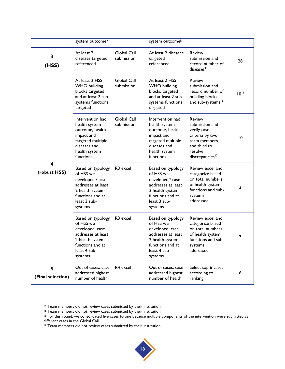|                        | system outcomeiv                                                                                                                                       |                           | system outcomeiv                                                                                                                            |                                                                                                                                             |                 |
|------------------------|--------------------------------------------------------------------------------------------------------------------------------------------------------|---------------------------|---------------------------------------------------------------------------------------------------------------------------------------------|---------------------------------------------------------------------------------------------------------------------------------------------|-----------------|
| $\mathbf{3}$<br>(HSS)  | At least 2<br>diseases targeted<br>referenced                                                                                                          | Global Call<br>submission | At least 2 diseases<br>targeted<br>referenced                                                                                               | Review<br>submission and<br>record number of<br>diseases <sup>14</sup>                                                                      | 28              |
|                        | At least 2 HSS<br><b>WHO</b> building<br>blocks targeted<br>and at least 2 sub-<br>systems functions<br>targeted                                       | Global Call<br>submission | At least 2 HSS<br><b>WHO</b> building<br>blocks targeted<br>and at least 2 sub-<br>systems functions<br>targeted                            | <b>Review</b><br>submission and<br>record number of<br>building blocks<br>and sub-systems <sup>15</sup>                                     | $10^{16}$       |
|                        | Intervention had<br>health system<br>outcome, health<br>impact and<br>targeted multiple<br>diseases and<br>health system<br>functions                  | Global Call<br>submission | Intervention had<br>health system<br>outcome, health<br>impact and<br>targeted multiple<br>diseases and<br>health system<br>functions       | <b>Review</b><br>submission and<br>verify case<br>criteria by two<br>team members<br>and third to<br>resolve<br>discrepancies <sup>17</sup> | $\overline{10}$ |
| 4<br>(robust HSS)      | Based on typology<br>of HSS we<br>developed, <sup>v</sup> case<br>addresses at least<br>2 health system<br>functions and at<br>least 3 sub-<br>systems | R <sub>3</sub> excel      | Based on typology<br>of HSS we<br>developed, v case<br>addresses at least<br>2 health system<br>functions and at<br>least 3 sub-<br>systems | Review excel and<br>categorize based<br>on total numbers<br>of health system<br>functions and sub-<br>systems<br>addressed                  | 3               |
|                        | Based on typology<br>of HSS we<br>developed, case<br>addresses at least<br>2 health system<br>functions and at<br>least 4 sub-<br>systems              | R <sub>3</sub> excel      | Based on typology<br>of HSS we<br>developed, case<br>addresses at least<br>2 health system<br>functions and at<br>least 4 sub-<br>systems   | Review excel and<br>categorize based<br>on total numbers<br>of health system<br>functions and sub-<br>systems<br>addressed                  | 7               |
| 5<br>(Final selection) | Out of cases, case<br>addressed highest<br>number of health                                                                                            | R4 excel                  | Out of cases, case<br>addressed highest<br>number of health                                                                                 | Select top 6 cases<br>according to<br>ranking                                                                                               | 6               |

<sup>14</sup> Team members did not review cases submitted by their institution.

l

<sup>15</sup> Team members did not review cases submitted by their institution.

<sup>16</sup> For this round, we consolidated five cases to one because multiple components of the intervention were submitted as different cases in the Global Call.

<sup>17</sup> Team members did not review cases submitted by their institution.

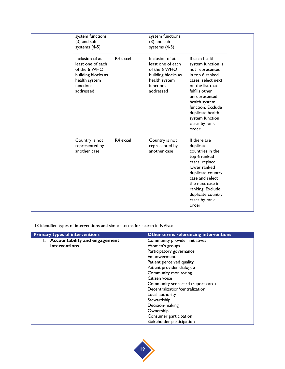| system functions<br>$(3)$ and sub-<br>systems $(4-5)$                                                                 |          | system functions<br>$(3)$ and sub-<br>systems $(4-5)$                                                                 |                                                                                                                                                                                                                                                                 |
|-----------------------------------------------------------------------------------------------------------------------|----------|-----------------------------------------------------------------------------------------------------------------------|-----------------------------------------------------------------------------------------------------------------------------------------------------------------------------------------------------------------------------------------------------------------|
| Inclusion of at<br>least one of each<br>of the 6 WHO<br>building blocks as<br>health system<br>functions<br>addressed | R4 excel | Inclusion of at<br>least one of each<br>of the 6 WHO<br>building blocks as<br>health system<br>functions<br>addressed | If each health<br>system function is<br>not represented<br>in top 6 ranked<br>cases, select next<br>on the list that<br>fulfills other<br>unrepresented<br>health system<br>function. Exclude<br>duplicate health<br>system function<br>cases by rank<br>order. |
| Country is not<br>represented by<br>another case                                                                      | R4 excel | Country is not<br>represented by<br>another case                                                                      | If there are<br>duplicate<br>countries in the<br>top 6 ranked<br>cases, replace<br>lower ranked<br>duplicate country<br>case and select<br>the next case in<br>ranking. Exclude<br>duplicate country<br>cases by rank<br>order.                                 |

<sup>i</sup>13 identified types of interventions and similar terms for search in NVivo:

| <b>Primary types of interventions</b> | <b>Other terms referencing interventions</b> |
|---------------------------------------|----------------------------------------------|
| 1. Accountability and engagement      | Community provider initiatives               |
| interventions                         | Women's groups                               |
|                                       | Participatory governance                     |
|                                       | Empowerment                                  |
|                                       | Patient perceived quality                    |
|                                       | Patient provider dialogue                    |
|                                       | Community monitoring                         |
|                                       | Citizen voice                                |
|                                       | Community scorecard (report card)            |
|                                       | Decentralization/centralization              |
|                                       | Local authority                              |
|                                       | Stewardship                                  |
|                                       | Decision-making                              |
|                                       | Ownership                                    |
|                                       | Consumer participation                       |
|                                       | Stakeholder participation                    |

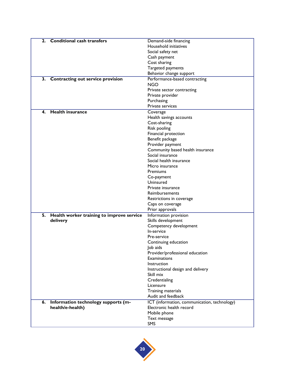| 2. | <b>Conditional cash transfers</b>         | Demand-side financing                        |
|----|-------------------------------------------|----------------------------------------------|
|    |                                           | Household initiatives                        |
|    |                                           | Social safety net                            |
|    |                                           |                                              |
|    |                                           | Cash payment                                 |
|    |                                           | Cost sharing                                 |
|    |                                           | Targeted payments                            |
|    |                                           | Behavior change support                      |
| 3. | Contracting out service provision         | Performance-based contracting                |
|    |                                           | <b>NGO</b>                                   |
|    |                                           | Private sector contracting                   |
|    |                                           | Private provider                             |
|    |                                           | Purchasing                                   |
|    |                                           | Private services                             |
| 4. | <b>Health insurance</b>                   | Coverage                                     |
|    |                                           | Health savings accounts                      |
|    |                                           | Cost-sharing                                 |
|    |                                           | Risk pooling                                 |
|    |                                           | Financial protection                         |
|    |                                           | Benefit package                              |
|    |                                           | Provider payment                             |
|    |                                           | Community based health insurance             |
|    |                                           | Social insurance                             |
|    |                                           | Social health insurance                      |
|    |                                           | Micro insurance                              |
|    |                                           | Premiums                                     |
|    |                                           | Co-payment                                   |
|    |                                           | Uninsured                                    |
|    |                                           | Private insurance                            |
|    |                                           | Reimbursements                               |
|    |                                           | Restrictions in coverage                     |
|    |                                           | Caps on coverage                             |
|    |                                           | Prior approvals                              |
|    |                                           |                                              |
| 5. | Health worker training to improve service | Information provision                        |
|    | delivery                                  | Skills development                           |
|    |                                           | Competency development                       |
|    |                                           | In-service                                   |
|    |                                           | Pre-service                                  |
|    |                                           | Continuing education                         |
|    |                                           | Job aids                                     |
|    |                                           | Provider/professional education              |
|    |                                           | Examinations                                 |
|    |                                           | Instruction                                  |
|    |                                           | Instructional design and delivery            |
|    |                                           | Skill mix                                    |
|    |                                           | Credentialing                                |
|    |                                           | Licensure                                    |
|    |                                           | Training materials                           |
|    |                                           | Audit and feedback                           |
| 6. | Information technology supports (m-       | ICT (information, communication, technology) |
|    | health/e-health)                          | Electronic health record                     |
|    |                                           | Mobile phone                                 |
|    |                                           | Text message                                 |
|    |                                           | SMS                                          |

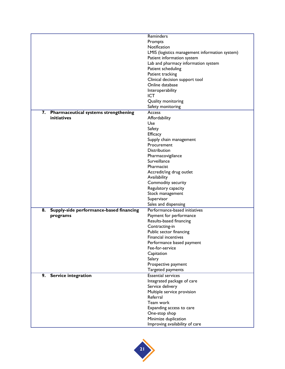|    |                                             | <b>Reminders</b>                               |
|----|---------------------------------------------|------------------------------------------------|
|    |                                             | Prompts                                        |
|    |                                             | Notification                                   |
|    |                                             | LMIS (logistics management information system) |
|    |                                             | Patient information system                     |
|    |                                             | Lab and pharmacy information system            |
|    |                                             |                                                |
|    |                                             | Patient scheduling                             |
|    |                                             | Patient tracking                               |
|    |                                             | Clinical decision support tool                 |
|    |                                             | Online database                                |
|    |                                             | Interoperability                               |
|    |                                             | <b>ICT</b>                                     |
|    |                                             | Quality monitoring                             |
|    |                                             | Safety monitoring                              |
| 7. | <b>Pharmaceutical systems strengthening</b> | Access                                         |
|    | initiatives                                 | Affordability                                  |
|    |                                             | Use                                            |
|    |                                             | Safety                                         |
|    |                                             | Efficacy                                       |
|    |                                             | Supply chain management                        |
|    |                                             | Procurement                                    |
|    |                                             |                                                |
|    |                                             | Distribution                                   |
|    |                                             | Pharmacovigilance                              |
|    |                                             | Surveillance                                   |
|    |                                             | Pharmacist                                     |
|    |                                             | Accredit/ing drug outlet                       |
|    |                                             | Availability                                   |
|    |                                             | Commodity security                             |
|    |                                             | Regulatory capacity                            |
|    |                                             | Stock management                               |
|    |                                             | Supervisor                                     |
|    |                                             | Sales and dispensing                           |
| 8. | Supply-side performance-based financing     | Performance-based initiatives                  |
|    | programs                                    | Payment for performance                        |
|    |                                             | Results-based financing                        |
|    |                                             |                                                |
|    |                                             | Contracting-in                                 |
|    |                                             | Public sector financing                        |
|    |                                             | <b>Financial incentives</b>                    |
|    |                                             | Performance based payment                      |
|    |                                             | Fee-for-service                                |
|    |                                             | Capitation                                     |
|    |                                             | Salary                                         |
|    |                                             | Prospective payment                            |
|    |                                             | Targeted payments                              |
|    | 9. Service integration                      | <b>Essential services</b>                      |
|    |                                             | Integrated package of care                     |
|    |                                             | Service delivery                               |
|    |                                             | Multiple service provision                     |
|    |                                             | Referral                                       |
|    |                                             | Team work                                      |
|    |                                             | Expanding access to care                       |
|    |                                             |                                                |
|    |                                             | One-stop shop                                  |
|    |                                             | Minimize duplication                           |
|    |                                             | Improving availability of care                 |

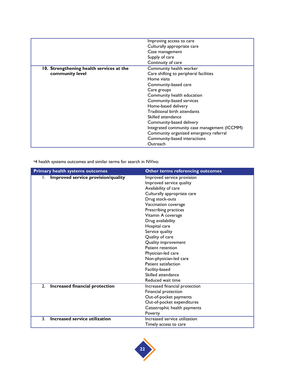|                                          | Improving access to care                     |
|------------------------------------------|----------------------------------------------|
|                                          | Culturally appropriate care                  |
|                                          | Case management                              |
|                                          | Supply of care                               |
|                                          | Continuity of care                           |
| 10. Strengthening health services at the | Community health worker                      |
| community level                          | Care shifting to peripheral facilities       |
|                                          | Home visits                                  |
|                                          | Community-based care                         |
|                                          | Care groups                                  |
|                                          | Community health education                   |
|                                          | Community-based services                     |
|                                          | Home-based delivery                          |
|                                          | Traditional birth attendants                 |
|                                          | Skilled attendance                           |
|                                          | Community-based delivery                     |
|                                          | Integrated community case management (ICCMM) |
|                                          | Community organized emergency referral       |
|                                          | Community-based interactions                 |
|                                          | Outreach                                     |

ii4 health systems outcomes and similar terms for search in NVivo:

| <b>Primary health systems outcomes</b> | Other terms referencing outcomes                       |
|----------------------------------------|--------------------------------------------------------|
| Improved service provision/quality     | Improved service provision<br>Improved service quality |
|                                        | Availability of care                                   |
|                                        | Culturally appropriate care<br>Drug stock-outs         |
|                                        | Vaccination coverage                                   |
|                                        | Prescribing practices                                  |
|                                        | Vitamin A coverage                                     |
|                                        | Drug availability                                      |
|                                        | Hospital care                                          |
|                                        | Service quality                                        |
|                                        | Quality of care                                        |
|                                        | Quality improvement                                    |
|                                        | Patient retention                                      |
|                                        | Physician-led care                                     |
|                                        | Non-physician-led care                                 |
|                                        | Patient satisfaction                                   |
|                                        | Facility-based                                         |
|                                        | Skilled attendance                                     |
|                                        | Reduced wait time                                      |
| Increased financial protection<br>2.   | Increased financial protection                         |
|                                        | Financial protection                                   |
|                                        | Out-of-pocket payments                                 |
|                                        | Out-of-pocket expenditures                             |
|                                        | Catastrophic health payments                           |
|                                        | Poverty                                                |
| Increased service utilization<br>3.    | Increased service utilization                          |
|                                        | Timely access to care                                  |

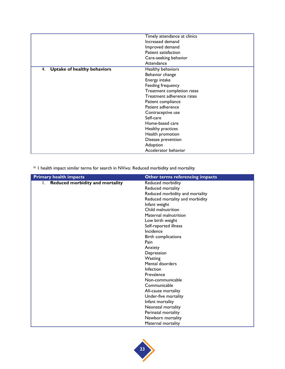|                                          | Timely attendance at clinics |
|------------------------------------------|------------------------------|
|                                          | Increased demand             |
|                                          | Improved demand              |
|                                          | Patient satisfaction         |
|                                          | Care-seeking behavior        |
|                                          | Attendance                   |
| <b>Uptake of healthy behaviors</b><br>4. | Healthy behaviors            |
|                                          | Behavior change              |
|                                          | Energy intake                |
|                                          | Feeding frequency            |
|                                          | Treatment completion rates   |
|                                          | Treatment adherence rates    |
|                                          | Patient compliance           |
|                                          | Patient adherence            |
|                                          | Contraceptive use            |
|                                          | Self-care                    |
|                                          | Home-based care              |
|                                          | Healthy practices            |
|                                          | Health promotion             |
|                                          | Disease prevention           |
|                                          | Adoption                     |
|                                          | Accelerator behavior         |

iii I health impact similar terms for search in NVivo: Reduced morbidity and mortality

| <b>Primary health impacts</b>                | Other terms referencing impacts |
|----------------------------------------------|---------------------------------|
| <b>Reduced morbidity and mortality</b><br>L. | Reduced morbidity               |
|                                              | Reduced mortality               |
|                                              | Reduced morbidity and mortality |
|                                              | Reduced mortality and morbidity |
|                                              | Infant weight                   |
|                                              | Child malnutrition              |
|                                              | Maternal malnutrition           |
|                                              | Low birth weight                |
|                                              | Self-reported illness           |
|                                              | Incidence                       |
|                                              | Birth complications             |
|                                              | Pain                            |
|                                              | Anxiety                         |
|                                              | Depression                      |
|                                              | Wasting                         |
|                                              | Mental disorders                |
|                                              | Infection                       |
|                                              | Prevalence                      |
|                                              | Non-communicable                |
|                                              | Communicable                    |
|                                              | All-cause mortality             |
|                                              | Under-five mortality            |
|                                              | Infant mortality                |
|                                              | Neonatal mortality              |
|                                              | Perinatal mortality             |
|                                              | Newborn mortality               |
|                                              | Maternal mortality              |

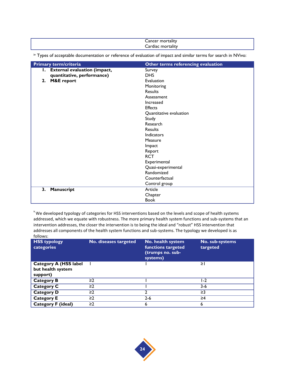| Cancer<br>mortality              |  |
|----------------------------------|--|
| $-$<br>mortality<br>allac<br>آαت |  |

| Primary term/criteria           | Other terms referencing evaluation |
|---------------------------------|------------------------------------|
| I. External evaluation (impact, | Survey                             |
| quantitative, performance)      | <b>DHS</b>                         |
| 2. M&E report                   | Evaluation                         |
|                                 | Monitoring                         |
|                                 | <b>Results</b>                     |
|                                 | Assessment                         |
|                                 | Increased                          |
|                                 | <b>Effects</b>                     |
|                                 | Quantitative evaluation            |
|                                 | Study                              |
|                                 | Research                           |
|                                 | Results                            |
|                                 | Indicators                         |
|                                 | Measure                            |
|                                 | Impact                             |
|                                 | Report                             |
|                                 | <b>RCT</b>                         |
|                                 | Experimental                       |
|                                 | Quasi-experimental                 |
|                                 | Randomized                         |
|                                 | Counterfactual                     |
|                                 | Control group                      |
| 3.<br>Manuscript                | Article                            |
|                                 | Chapter                            |
|                                 | <b>Book</b>                        |

iv Types of acceptable documentation or reference of evaluation of impact and similar terms for search in NVivo:

<sup>v</sup> We developed typology of categories for HSS interventions based on the levels and scope of health systems addressed, which we equate with robustness. The more primary health system functions and sub-systems that an intervention addresses, the closer the intervention is to being the ideal and "robust" HSS intervention that addresses all components of the health system functions and sub-systems. The typology we developed is as follows:

| <b>HSS typology</b><br>categories                              | No. diseases targeted | No. health system<br>functions targeted<br>(trumps no. sub-<br>systems) | No. sub-systems<br>targeted |
|----------------------------------------------------------------|-----------------------|-------------------------------------------------------------------------|-----------------------------|
| <b>Category A (HSS label)</b><br>but health system<br>support) |                       |                                                                         | ≥I                          |
| <b>Category B</b>                                              | $\geq$ 2              |                                                                         | $1-2$                       |
| <b>Category C</b>                                              | $\geq$ 2              |                                                                         | 3-6                         |
| <b>Category D</b>                                              | $\geq$ 2              |                                                                         | $\geq$ 3                    |
| <b>Category E</b>                                              | $\geq$ 2              | 2-6                                                                     | ≥4                          |
| <b>Category F (ideal)</b>                                      | $\geq$ 2              | 6                                                                       |                             |

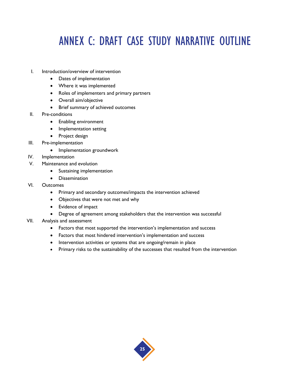## ANNEX C: DRAFT CASE STUDY NARRATIVE OUTLINE

- I. Introduction/overview of intervention
	- Dates of implementation
	- Where it was implemented
	- Roles of implementers and primary partners
	- Overall aim/objective
	- Brief summary of achieved outcomes
- II. Pre-conditions
	- Enabling environment
	- Implementation setting
	- Project design
- III. Pre-implementation
	- Implementation groundwork
- IV. Implementation
- V. Maintenance and evolution
	- Sustaining implementation
	- **•** Dissemination
- VI. Outcomes
	- Primary and secondary outcomes/impacts the intervention achieved
	- Objectives that were not met and why
	- Evidence of impact
	- Degree of agreement among stakeholders that the intervention was successful
- VII. Analysis and assessment
	- Factors that most supported the intervention's implementation and success
	- Factors that most hindered intervention's implementation and success
	- Intervention activities or systems that are ongoing/remain in place
	- Primary risks to the sustainability of the successes that resulted from the intervention

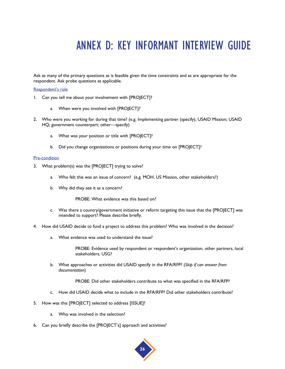## ANNEX D: KEY INFORMANT INTERVIEW GUIDE

Ask as many of the primary questions as is feasible given the time constraints and as are appropriate for the respondent. Ask probe questions as applicable.

#### Respondent's role

- 1. Can you tell me about your involvement with [PROJECT]?
	- a. When were you involved with [PROJECT]?
- 2. Who were you working for during that time? (e.g. Implementing partner (specify); USAID Mission; USAID HQ; government counterpart; other—specify)
	- a. What was your position or title with [PROJECT]?
	- b. Did you change organizations or positions during your time on [PROJECT]?

#### Pre-condition

- 3. What problem(s) was the [PROJECT] trying to solve?
	- a. Who felt this was an issue of concern? (e.g. MOH, US Mission, other stakeholders?)
	- b. Why did they see it as a concern?

PROBE: What evidence was this based on?

- c. Was there a country/government initiative or reform targeting this issue that the [PROJECT] was intended to support? Please describe briefly.
- 4. How did USAID decide to fund a project to address this problem? Who was involved in the decision?
	- a. What evidence was used to understand the issue?

PROBE: Evidence used by respondent or respondent's organization, other partners, local stakeholders, USG?

b. What approaches or activities did USAID specify in the RFA/RFP? (*Skip if can answer from documentation*)

PROBE: Did other stakeholders contribute to what was specified in the RFA/RFP?

- c. How did USAID decide what to include in the RFA/RFP? Did other stakeholders contribute?
- 5. How was this [PROJECT] selected to address [ISSUE]?
	- a. Who was involved in the selection?
- 6. Can you briefly describe the [PROJECT's] approach and activities?

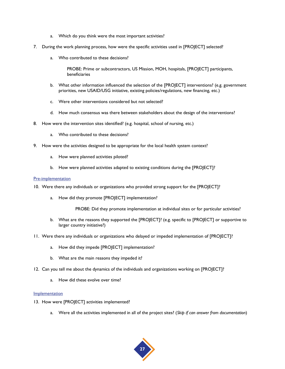- a. Which do you think were the most important activities?
- 7. During the work planning process, how were the specific activities used in [PROJECT] selected?
	- a. Who contributed to these decisions?

PROBE: Prime or subcontractors, US Mission, MOH, hospitals, [PROJECT] participants, beneficiaries

- b. What other information influenced the selection of the [PROJECT] interventions? (e.g. government priorities, new USAID/USG initiative, existing policies/regulations, new financing, etc.)
- c. Were other interventions considered but not selected?
- d. How much consensus was there between stakeholders about the design of the interventions?
- 8. How were the intervention sites identified? (e.g. hospital, school of nursing, etc.)
	- a. Who contributed to these decisions?
- 9. How were the activities designed to be appropriate for the local health system context?
	- a. How were planned activities piloted?
	- b. How were planned activities adapted to existing conditions during the [PROJECT]?

#### Pre-implementation

- 10. Were there any individuals or organizations who provided strong support for the [PROJECT]?
	- a. How did they promote [PROJECT] implementation?

PROBE: Did they promote implementation at individual sites or for particular activities?

- b. What are the reasons they supported the [PROJECT]? (e.g. specific to [PROJECT] or supportive to larger country initiative?)
- 11. Were there any individuals or organizations who delayed or impeded implementation of [PROJECT]?
	- a. How did they impede [PROJECT] implementation?
	- b. What are the main reasons they impeded it?
- 12. Can you tell me about the dynamics of the individuals and organizations working on [PROJECT]?
	- a. How did these evolve over time?

#### **Implementation**

- 13. How were [PROJECT] activities implemented?
	- a. Were all the activities implemented in all of the project sites? (*Skip if can answer from documentation*)

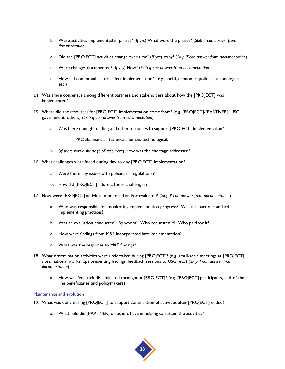- b. Were activities implemented in phases? (*If yes*) What were the phases? (*Skip if can answer from documentation*)
- c. Did the [PROJECT] activities change over time? (*If yes*) Why? (*Skip if can answer from documentation*)
- d. Were changes documented? (*If yes*) How? (*Skip if can answer from documentation*)
- e. How did contextual factors affect implementation? (e.g. social, economic, political, technological, etc.)
- 14. Was there consensus among different partners and stakeholders about how the [PROJECT] was implemented?
- 15. Where did the resources for [PROJECT] implementation come from? (e.g. [PROJECT]/[PARTNER], USG, government, others) (*Skip if can answer from documentation*)
	- a. Was there enough funding and other resources to support [PROJECT] implementation?

PROBE: financial, technical, human, technological.

- b. (*If there was a shortage of resources*) How was the shortage addressed?
- 16. What challenges were faced during day-to-day [PROJECT] implementation?
	- a. Were there any issues with policies or regulations?
	- b. How did [PROJECT] address these challenges?
- 17. How were [PROJECT] activities monitored and/or evaluated? (*Skip if can answer from documentation*)
	- a. Who was responsible for monitoring implementation progress? Was this part of standard implementing practices?
	- b. Was an evaluation conducted? By whom? Who requested it? Who paid for it?
	- c. How were findings from M&E incorporated into implementation?
	- d. What was the response to M&E findings?
- 18. What dissemination activities were undertaken during [PROJECT]? (e.g. small-scale meetings at [PROJECT] sites, national workshops presenting findings, feedback sessions to USG, etc.) (*Skip if can answer from documentation*)
	- a. How was feedback disseminated throughout [PROJECT]? (e.g. [PROJECT] participants, end-of-theline beneficiaries and policymakers)

#### Maintenance and evolution

- 19. What was done during [PROJECT] to support continuation of activities after [PROJECT] ended?
	- a. What role did [PARTNER] or others have in helping to sustain the activities?

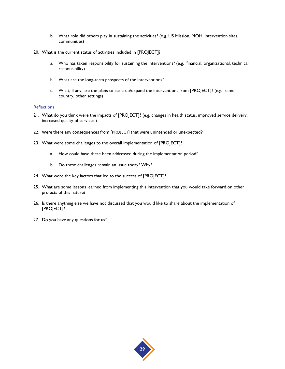- b. What role did others play in sustaining the activities? (e.g. US Mission, MOH, intervention sites, communities)
- 20. What is the current status of activities included in [PROJECT]?
	- a. Who has taken responsibility for sustaining the interventions? (e.g. financial, organizational, technical responsibility)
	- b. What are the long-term prospects of the interventions?
	- c. What, if any, are the plans to scale-up/expand the interventions from [PROJECT]? (e.g. same country, other settings)

#### **Reflections**

- 21. What do you think were the impacts of [PROJECT]? (e.g. changes in health status, improved service delivery, increased quality of services.)
- 22. Were there any consequences from [PROJECT] that were unintended or unexpected?
- 23. What were some challenges to the overall implementation of [PROJECT]?
	- a. How could have these been addressed during the implementation period?
	- b. Do these challenges remain an issue today? Why?
- 24. What were the key factors that led to the success of [PROJECT]?
- 25. What are some lessons learned from implementing this intervention that you would take forward on other projects of this nature?
- 26. Is there anything else we have not discussed that you would like to share about the implementation of [PROJECT]?
- 27. Do you have any questions for us?

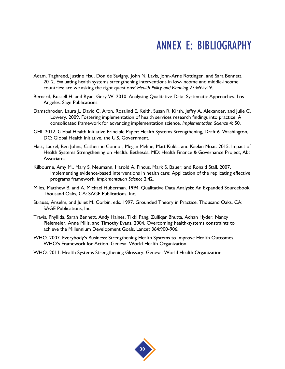## ANNEX E: BIBLIOGRAPHY

- Adam, Taghreed, Justine Hsu, Don de Savigny, John N. Lavis, John-Arne Rottingen, and Sara Bennett. 2012. Evaluating health systems strengthening interventions in low-income and middle-income countries: are we asking the right questions? *Health Policy and Planning* 27:iv9-iv19.
- Bernard, Russell H. and Ryan, Gery W. 2010. Analysing Qualitative Data: Systematic Approaches. Los Angeles: Sage Publications.
- Damschroder, Laura J., David C. Aron, Rosalind E. Keith, Susan R. Kirsh, Jeffry A. Alexander, and Julie C. Lowery. 2009. Fostering implementation of health services research findings into practice: A consolidated framework for advancing implementation science. *Implementation Science* 4: 50.
- GHI. 2012. Global Health Initiative Principle Paper: Health Systems Strengthening, Draft 6. Washington, DC: Global Health Initiative, the U.S. Government.
- Hatt, Laurel, Ben Johns, Catherine Connor, Megan Meline, Matt Kukla, and Kaelan Moat. 2015. Impact of Health Systems Strengthening on Health. Bethesda, MD: Health Finance & Governance Project, Abt Associates.
- Kilbourne, Amy M., Mary S. Neumann, Harold A. Pincus, Mark S. Bauer, and Ronald Stall. 2007. Implementing evidence-based interventions in health care: Application of the replicating effective programs framework. *Implementation Science* 2:42.
- Miles, Matthew B. and A. Michael Huberman. 1994. Qualitative Data Analysis: An Expanded Sourcebook. Thousand Oaks, CA: SAGE Publications, Inc.
- Strauss, Anselm, and Juliet M. Corbin, eds. 1997. Grounded Theory in Practice. Thousand Oaks, CA: SAGE Publications, Inc.
- Travis, Phyllida, Sarah Bennett, Andy Haines, Tikki Pang, Zulfiqar Bhutta, Adnan Hyder, Nancy Pielemeier, Anne Mills, and Timothy Evans. 2004. Overcoming health-systems constraints to achieve the Millennium Development Goals. Lancet 364:900-906.
- WHO. 2007. Everybody's Business: Strengthening Health Systems to Improve Health Outcomes, WHO's Framework for Action. Geneva: World Health Organization.
- WHO. 2011. Health Systems Strengthening Glossary. Geneva: World Health Organization.